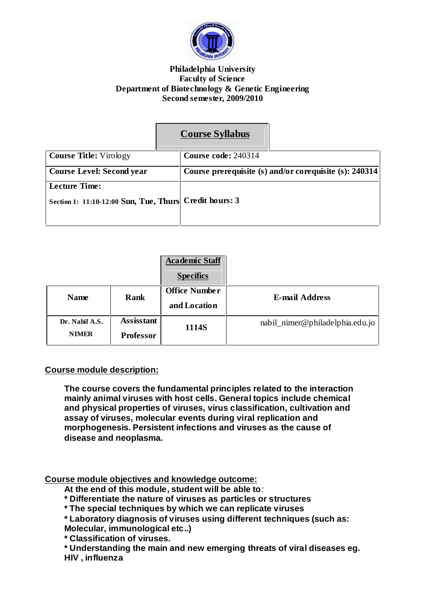

## **Philadelphia University Faculty of Science Department of Biotechnology & Genetic Engineering Second semester, 2009/2010**

# **Course Syllabus**

| <b>Course Title:</b> Virology                          | Course code: 240314 |                                                        |
|--------------------------------------------------------|---------------------|--------------------------------------------------------|
| <b>Course Level: Second year</b>                       |                     | Course prerequisite (s) and/or corequisite (s): 240314 |
| Lecture Time:                                          |                     |                                                        |
| Section 1: 11:10-12:00 Sun, Tue, Thurs Credit hours: 3 |                     |                                                        |
|                                                        |                     |                                                        |

|                                |                                       | <b>Academic Staff</b><br><b>Specifics</b> |                                 |
|--------------------------------|---------------------------------------|-------------------------------------------|---------------------------------|
| <b>Name</b>                    | Rank                                  | <b>Office Number</b><br>and Location      | <b>E-mail Address</b>           |
| Dr. Nabil A.S.<br><b>NIMER</b> | <b>Assisstant</b><br><b>Professor</b> | 1114S                                     | nabil_nimer@philadelphia.edu.jo |

# **Course module description:**

**The course covers the fundamental principles related to the interaction mainly animal viruses with host cells. General topics include chemical and physical properties of viruses, virus classification, cultivation and assay of viruses, molecular events during viral replication and morphogenesis. Persistent infections and viruses as the cause of disease and neoplasma.**

**Course module objectives and knowledge outcome:**

**At the end of this module, student will be able to**:

**\* Differentiate the nature of viruses as particles or structures**

**\* The special techniques by which we can replicate viruses**

**\* Laboratory diagnosis of viruses using different techniques (such as: Molecular, immunological etc..)**

**\* Classification of viruses.**

**\* Understanding the main and new emerging threats of viral diseases eg. HIV , influenza**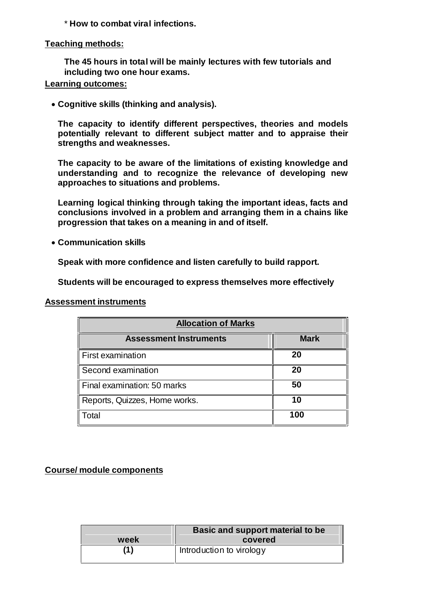\* **How to combat viral infections.**

## **Teaching methods:**

**The 45 hours in total will be mainly lectures with few tutorials and including two one hour exams.**

# **Learning outcomes:**

**Cognitive skills (thinking and analysis).**

**The capacity to identify different perspectives, theories and models potentially relevant to different subject matter and to appraise their strengths and weaknesses.**

**The capacity to be aware of the limitations of existing knowledge and understanding and to recognize the relevance of developing new approaches to situations and problems.**

**Learning logical thinking through taking the important ideas, facts and conclusions involved in a problem and arranging them in a chains like progression that takes on a meaning in and of itself.**

**Communication skills**

**Speak with more confidence and listen carefully to build rapport.**

**Students will be encouraged to express themselves more effectively**

**Assessment instruments**

| <b>Allocation of Marks</b>    |             |  |  |  |
|-------------------------------|-------------|--|--|--|
| <b>Assessment Instruments</b> | <b>Mark</b> |  |  |  |
| First examination             | 20          |  |  |  |
| Second examination            | 20          |  |  |  |
| Final examination: 50 marks   | 50          |  |  |  |
| Reports, Quizzes, Home works. | 10          |  |  |  |
| Total                         | 100         |  |  |  |

# **Course/ module components**

|      | Basic and support material to be |  |
|------|----------------------------------|--|
| week | covered                          |  |
| (1)  | Introduction to virology         |  |